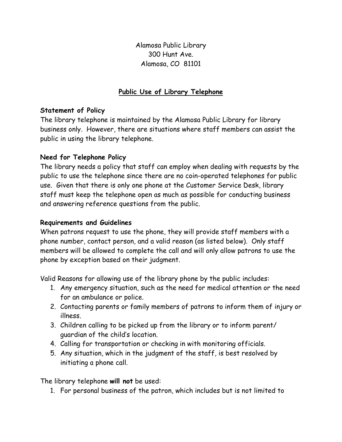Alamosa Public Library 300 Hunt Ave. Alamosa, CO 81101

## Public Use of Library Telephone

## Statement of Policy

The library telephone is maintained by the Alamosa Public Library for library business only. However, there are situations where staff members can assist the public in using the library telephone.

## Need for Telephone Policy

The library needs a policy that staff can employ when dealing with requests by the public to use the telephone since there are no coin-operated telephones for public use. Given that there is only one phone at the Customer Service Desk, library staff must keep the telephone open as much as possible for conducting business and answering reference questions from the public.

## Requirements and Guidelines

When patrons request to use the phone, they will provide staff members with a phone number, contact person, and a valid reason (as listed below). Only staff members will be allowed to complete the call and will only allow patrons to use the phone by exception based on their judgment.

Valid Reasons for allowing use of the library phone by the public includes:

- 1. Any emergency situation, such as the need for medical attention or the need for an ambulance or police.
- 2. Contacting parents or family members of patrons to inform them of injury or illness.
- 3. Children calling to be picked up from the library or to inform parent/ guardian of the child's location.
- 4. Calling for transportation or checking in with monitoring officials.
- 5. Any situation, which in the judgment of the staff, is best resolved by initiating a phone call.

The library telephone will not be used:

1. For personal business of the patron, which includes but is not limited to